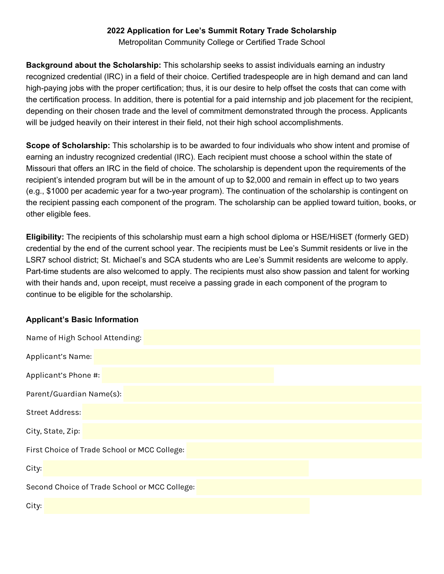## **2022 Application for Lee's Summit Rotary Trade Scholarship**

Metropolitan Community College or Certified Trade School

**Background about the Scholarship:** This scholarship seeks to assist individuals earning an industry recognized credential (IRC) in a field of their choice. Certified tradespeople are in high demand and can land high-paying jobs with the proper certification; thus, it is our desire to help offset the costs that can come with the certification process. In addition, there is potential for a paid internship and job placement for the recipient, depending on their chosen trade and the level of commitment demonstrated through the process. Applicants will be judged heavily on their interest in their field, not their high school accomplishments.

**Scope of Scholarship:** This scholarship is to be awarded to four individuals who show intent and promise of earning an industry recognized credential (IRC). Each recipient must choose a school within the state of Missouri that offers an IRC in the field of choice. The scholarship is dependent upon the requirements of the recipient's intended program but will be in the amount of up to \$2,000 and remain in effect up to two years (e.g., \$1000 per academic year for a two-year program). The continuation of the scholarship is contingent on the recipient passing each component of the program. The scholarship can be applied toward tuition, books, or other eligible fees.

**Eligibility:** The recipients of this scholarship must earn a high school diploma or HSE/HiSET (formerly GED) credential by the end of the current school year. The recipients must be Lee's Summit residents or live in the LSR7 school district; St. Michael's and SCA students who are Lee's Summit residents are welcome to apply. Part-time students are also welcomed to apply. The recipients must also show passion and talent for working with their hands and, upon receipt, must receive a passing grade in each component of the program to continue to be eligible for the scholarship.

## **Applicant's Basic Information**

| Name of High School Attending:                |
|-----------------------------------------------|
| Applicant's Name:                             |
| Applicant's Phone #:                          |
| Parent/Guardian Name(s):                      |
| <b>Street Address:</b>                        |
| City, State, Zip:                             |
| First Choice of Trade School or MCC College:  |
| City:                                         |
| Second Choice of Trade School or MCC College: |
| City:                                         |